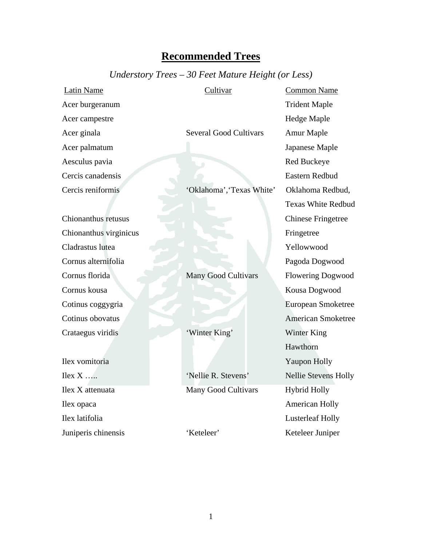## **Recommended Trees**

## *Understory Trees – 30 Feet Mature Height (or Less)*

| Latin Name             | Cultivar                      | <b>Common Name</b>          |
|------------------------|-------------------------------|-----------------------------|
| Acer burgeranum        |                               | <b>Trident Maple</b>        |
| Acer campestre         |                               | <b>Hedge Maple</b>          |
| Acer ginala            | <b>Several Good Cultivars</b> | Amur Maple                  |
| Acer palmatum          |                               | Japanese Maple              |
| Aesculus pavia         |                               | <b>Red Buckeye</b>          |
| Cercis canadensis      |                               | Eastern Redbud              |
| Cercis reniformis      | 'Oklahoma', 'Texas White'     | Oklahoma Redbud,            |
|                        |                               | <b>Texas White Redbud</b>   |
| Chionanthus retusus    |                               | <b>Chinese Fringetree</b>   |
| Chionanthus virginicus |                               | Fringetree                  |
| Cladrastus lutea       |                               | Yellowwood                  |
| Cornus alternifolia    |                               | Pagoda Dogwood              |
| Cornus florida         | <b>Many Good Cultivars</b>    | <b>Flowering Dogwood</b>    |
| Cornus kousa           |                               | Kousa Dogwood               |
| Cotinus coggygria      |                               | European Smoketree          |
| Cotinus obovatus       |                               | <b>American Smoketree</b>   |
| Crataegus viridis      | 'Winter King'                 | Winter King                 |
|                        |                               | Hawthorn                    |
| Ilex vomitoria         |                               | Yaupon Holly                |
| $Ilex X$               | 'Nellie R. Stevens'           | <b>Nellie Stevens Holly</b> |
| Ilex X attenuata       | <b>Many Good Cultivars</b>    | <b>Hybrid Holly</b>         |
| Ilex opaca             |                               | <b>American Holly</b>       |
| Ilex latifolia         |                               | <b>Lusterleaf Holly</b>     |
| Juniperis chinensis    | 'Keteleer'                    | Keteleer Juniper            |